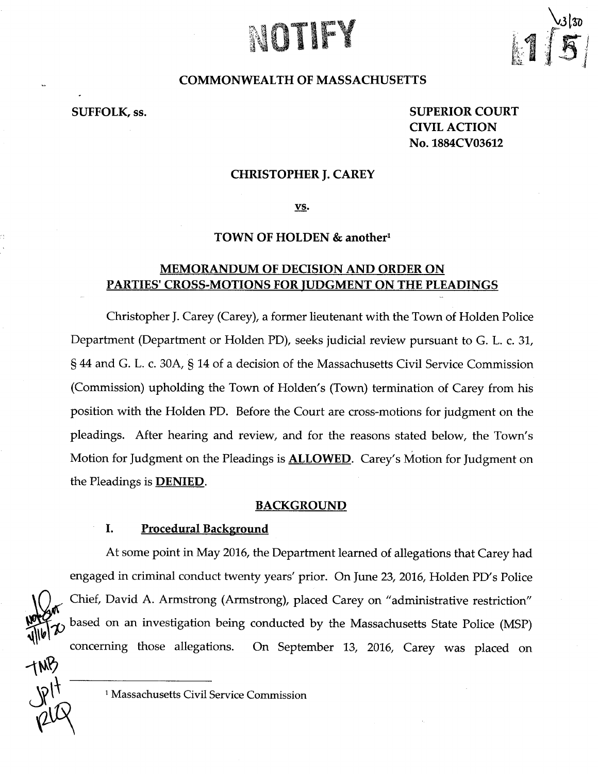# NOTE:



# COMMONWEALTH OF MASSACHUSETTS

SUFFOLK, ss.

SUPERIOR COURT CIVIL ACTION No. 1884CV03612

## CHRISTOPHER J.CAREY

vs.

## TOWN OF HOLDEN & another<sup>1</sup>

# MEMORANDUM OF DECISION AND ORDER ON PARTIES' CROSS-MOTIONS FOR JUDGMENT ON THE PLEADINGS

Christopher J. Carey (Carey), <sup>a</sup> former lieutenant with the Town of Holden Police Department (Department or Holden PD), seeks judicial review pursuant to G. L. c. 31, § 44 and G. L. c. 30A, § 14 of <sup>a</sup> decision of the Massachusetts Civil Service Commission (Commission) upholding the Town of Holden'<sup>s</sup> (Town) termination of Carey from his position with the Holden PD. Before the Court are cross-motions for judgment on the pleadings. After hearing and review, and for the reasons stated below, the Town's Motion for Judgment on the Pleadings is **ALLOWED**. Carey's Motion for Judgment on the Pleadings is DENIED.

#### BACKGROUND

## I. Procedural Background

At some point in May 2016, the Department learned of allegations that Carey had engaged in criminal conduct twenty years' prior. On June 23, 2016, Holden PD's Police , Chief, David A. Armstrong (Armstrong), placed Carey on "administrative restriction" based on an investigation being conducted by the Massachusetts State Police (MSP) concerning those allegations. On September 13, 2016, Carey was placed on

-w?

<sup>&</sup>lt;sup>1</sup> Massachusetts Civil Service Commission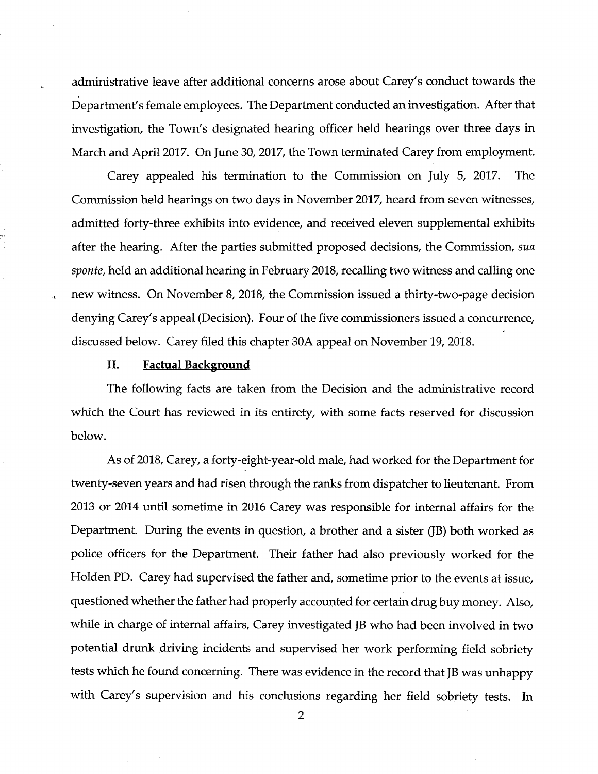administrative leave after additional concerns arose about Carey's conduct towards the Department's female employees. The Department conducted an investigation. After that investigation, the Town's designated hearing officer held hearings over three days in March and April 2017. On June 30, 2017, the Town terminated Carey from employment.

Carey appealed his termination to the Commission on July 5, 2017. The Commission held hearings on two days in November 2017, heard from seven witnesses, admitted forty-three exhibits into evidence, and received eleven supplemental exhibits after the hearing. After the parties submitted proposed decisions, the Commission, sua sponte, held an additional hearing in February 2018, recalling two witness and calling one new witness. On November 8, 2018, the Commission issued a thirty-two-page decision denying Carey's appeal (Decision). Four of the five commissioners issued a concurrence, discussed below. Carey filed this chapter 30A appeal on November 19, 2018.

#### II. Factual Background

The following facts are taken from the Decision and the administrative record which the Court has reviewed in its entirety, with some facts reserved for discussion below.

As of 2018, Carey, a forty-eight-year-old male, had worked for the Department for twenty-seven years and had risen through the ranks from dispatcher to lieutenant. From 2013 or 2014 until sometime in 2016 Carey was responsible for internal affairs for the Department. During the events in question, a brother and a sister (JB) both worked as police officers for the Department. Their father had also previously worked for the Flolden PD. Carey had supervised the father and, sometime prior to the events at issue, questioned whether the father had properly accounted for certain drug buy money. Also, while in charge of internal affairs, Carey investigated JB who had been involved in two potential drunk driving incidents and supervised her work performing field sobriety tests which he found concerning. There was evidence in the record that JB was unhappy with Carey's supervision and his conclusions regarding her field sobriety tests. In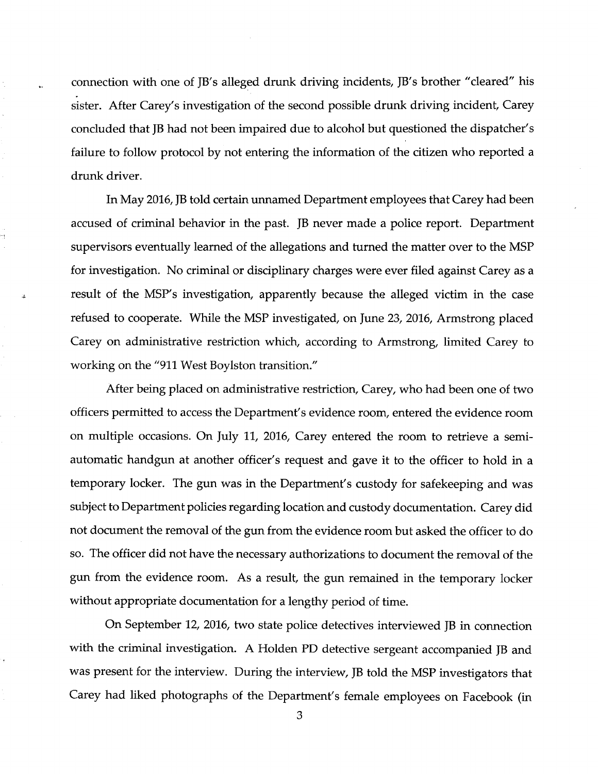connection with one of JB's alleged drunk driving incidents, JB's brother "cleared" his sister. After Carey's investigation of the second possible drunk driving incident, Carey concluded that JB had not been impaired due to alcohol but questioned the dispatcher's failure to follow protocol by not entering the information of the citizen who reported <sup>a</sup> drunk driver.

In May 2016, JB told certain unnamed Department employees that Carey had been accused of criminal behavior in the past. JB never made <sup>a</sup> police report. Department supervisors eventually learned of the allegations and turned the matter over to the MSP for investigation. No criminal or disciplinary charges were ever filed against Carey as <sup>a</sup> result of the MSP's investigation, apparently because the alleged victim in the case refused to cooperate. While the MSP investigated, on June 23, 2016, Armstrong placed Carey on administrative restriction which, according to Armstrong, limited Carey to working on the "911 West Boylston transition."

After being placed on administrative restriction, Carey, who had been one of two officers permitted to access the Department's evidence room, entered the evidence room on multiple occasions. On July 11, 2016, Carey entered the room to retrieve <sup>a</sup> semi automatic handgun at another officer's request and gave it to the officer to hold in <sup>a</sup> temporary locker. The gun was in the Department's custody for safekeeping and was subject to Department policies regarding location and custody documentation. Carey did not document the removal of the gun from the evidence room but asked the officer to do so. The officer did not have the necessary authorizations to document the removal of the gun from the evidence room. As <sup>a</sup> result, the gun remained in the temporary locker without appropriate documentation for <sup>a</sup> lengthy period of time.

On September 12, 2016, two state police detectives interviewed JB in connection with the criminal investigation. A Holden PD detective sergeant accompanied JB and was present for the interview. During the interview, JB told the MSP investigators that Carey had liked photographs of the Department's female employees on Facebook (in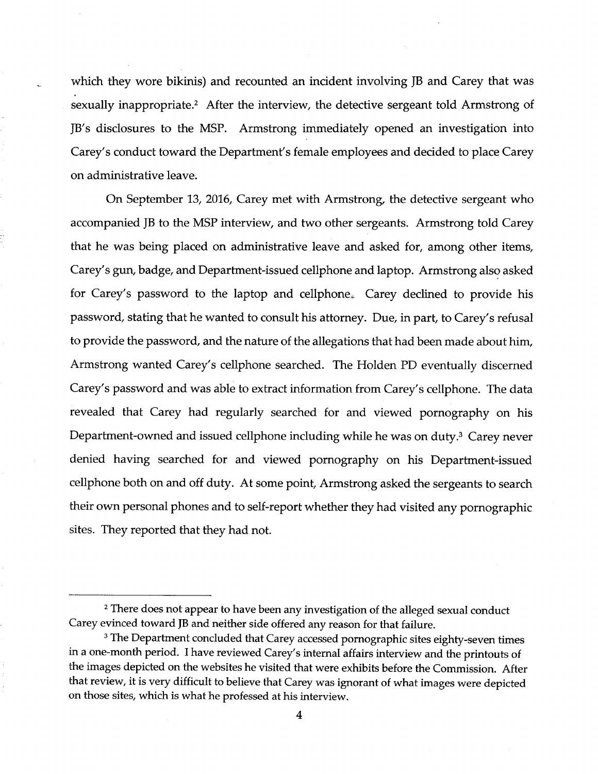which they wore bikinis) and recounted an incident involving JB and Carey that was sexually inappropriate.<sup>2</sup> After the interview, the detective sergeant told Armstrong of JB's disclosures to the MSP. Armstrong immediately opened an investigation into Carey's conduct toward the Department's female employees and decided to place Carey on administrative leave.

On September 13, 2016, Carey met with Armstrong, the detective sergeant who accompanied JB to the MSP interview, and two other sergeants. Armstrong told Carey that he was being placed on administrative leave and asked for, among other items, Carey's gun, badge, and Department-issued cellphone and laptop. Armstrong also asked for Carey's password to the laptop and cellphone. Carey declined to provide his password, stating that he wanted to consult his attorney. Due, in part, to Carey's refusal to provide the password, and the nature of the allegations that had been made about him, Armstrong wanted Carey's cellphone searched. The Holden PD eventually discerned Carey's password and was able to extract information from Carey's cellphone. The data revealed that Carey had regularly searched for and viewed pornography on his Department-owned and issued cellphone including while he was on duty.<sup>3</sup> Carey never denied having searched for and viewed pornography on his Department-issued cellphone both on and off duty. At some point, Armstrong asked the sergeants to search their own personal phones and to self-report whether they had visited any pornographic sites. They reported that they had not.

<sup>&</sup>lt;sup>2</sup> There does not appear to have been any investigation of the alleged sexual conduct Carey evinced toward JB and neither side offered any reason for that failure.

<sup>&</sup>lt;sup>3</sup> The Department concluded that Carey accessed pornographic sites eighty-seven times in <sup>a</sup> one-month period. <sup>I</sup> have reviewed Carey's internal affairs interview and the printouts of the images depicted on the websites he visited that were exhibits before the Commission. After that review, it is very difficult to believe that Carey was ignorant of what images were depicted on those sites, which is what he professed at his interview.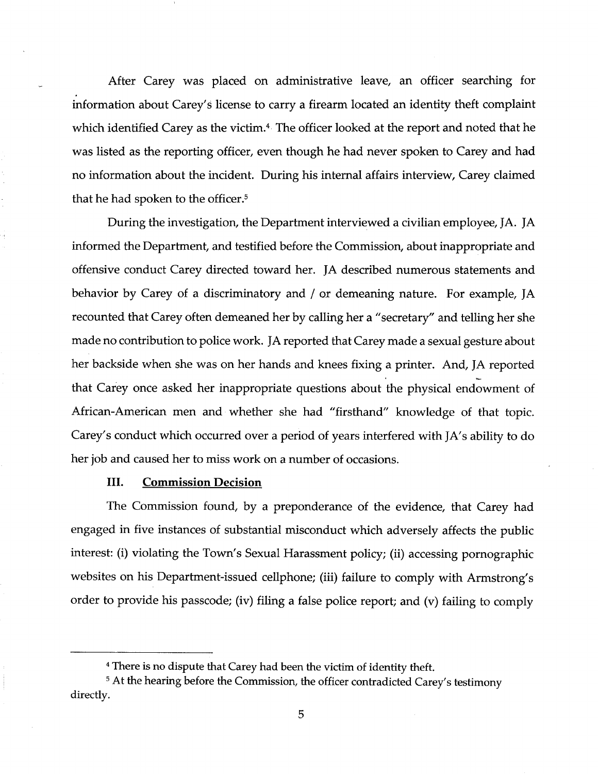After Carey was placed on administrative leave, an officer searching for information about Carey's license to carry a firearm located an identity theft complaint which identified Carey as the victim.<sup>4</sup> The officer looked at the report and noted that he was listed as the reporting officer, even though he had never spoken to Carey and had no information about the incident. During his internal affairs interview, Carey claimed that he had spoken to the officer.5

During the investigation, the Department interviewed a civilian employee, JA. JA informed the Department, and testified before the Commission, about inappropriate and offensive conduct Carey directed toward her. JA described numerous statements and behavior by Carey of <sup>a</sup> discriminatory and / or demeaning nature. For example, JA recounted that Carey often demeaned her by calling her a "secretary" and telling her she made no contribution to police work. JA reported that Carey made a sexual gesture about her backside when she was on her hands and knees fixing a printer. And, JA reported that Carey once asked her inappropriate questions about the physical endowment of African-American men and whether she had "firsthand" knowledge of that topic. Carey's conduct which occurred over a period of years interfered with JA's ability to do her job and caused her to miss work on a number of occasions.

## III. Commission Decision

The Commission found, by a preponderance of the evidence, that Carey had engaged in five instances of substantial misconduct which adversely affects the public interest: (i) violating the Town's Sexual Harassment policy; (ii) accessing pornographic websites on his Department-issued cellphone; (iii) failure to comply with Armstrong's order to provide his passcode; (iv) filing a false police report; and (v) failing to comply

<sup>4</sup> There is no dispute that Carey had been the victim of identity theft.

<sup>&</sup>lt;sup>5</sup> At the hearing before the Commission, the officer contradicted Carey's testimony directly.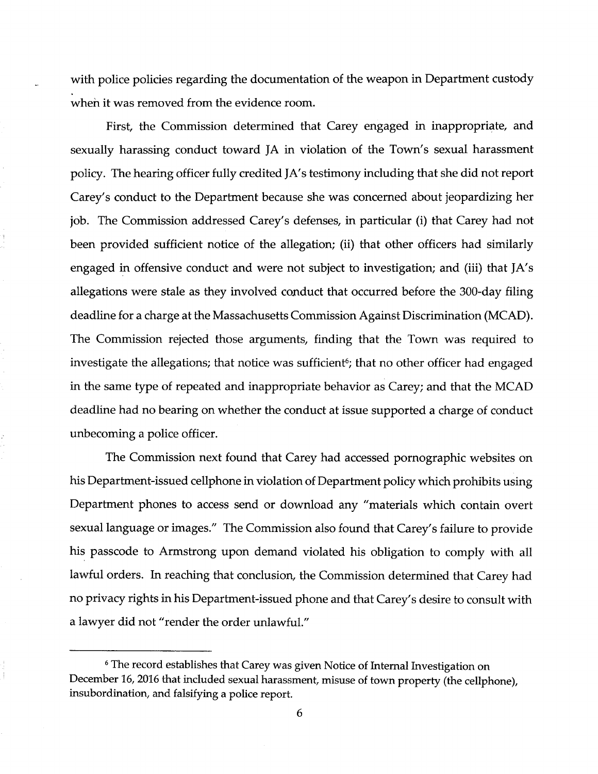with police policies regarding the documentation of the weapon in Department custody when it was removed from the evidence room.

First, the Commission determined that Carey engaged in inappropriate, and sexually harassing conduct toward JA in violation of the Town's sexual harassment policy. The hearing officer fully credited JA's testimony including that she did not report Carey's conduct to the Department because she was concerned about jeopardizing her job. The Commission addressed Carey's defenses, in particular (i) that Carey had not been provided sufficient notice of the allegation; (ii) that other officers had similarly engaged in offensive conduct and were not subject to investigation; and (iii) that JA's allegations were stale as they involved conduct that occurred before the 300-day filing deadline for a charge at the Massachusetts Commission Against Discrimination (MCAD). The Commission rejected those arguments, finding that the Town was required to investigate the allegations; that notice was sufficient<sup>6</sup>; that no other officer had engaged in the same type of repeated and inappropriate behavior as Carey; and that the MCAD deadline had no bearing on whether the conduct at issue supported a charge of conduct unbecoming a police officer.

The Commission next found that Carey had accessed pornographic websites on his Department-issued cellphone in violation of Department policy which prohibits using Department phones to access send or download any "materials which contain overt sexual language or images." The Commission also found that Carey's failure to provide his passcode to Armstrong upon demand violated his obligation to comply with all lawful orders. In reaching that conclusion, the Commission determined that Carey had no privacy rights in his Department-issued phone and that Carey's desire to consult with a lawyer did not "render the order unlawful."

<sup>&</sup>lt;sup>6</sup> The record establishes that Carey was given Notice of Internal Investigation on December 16, 2016 that included sexual harassment, misuse of town property (the cellphone), insubordination, and falsifying a police report.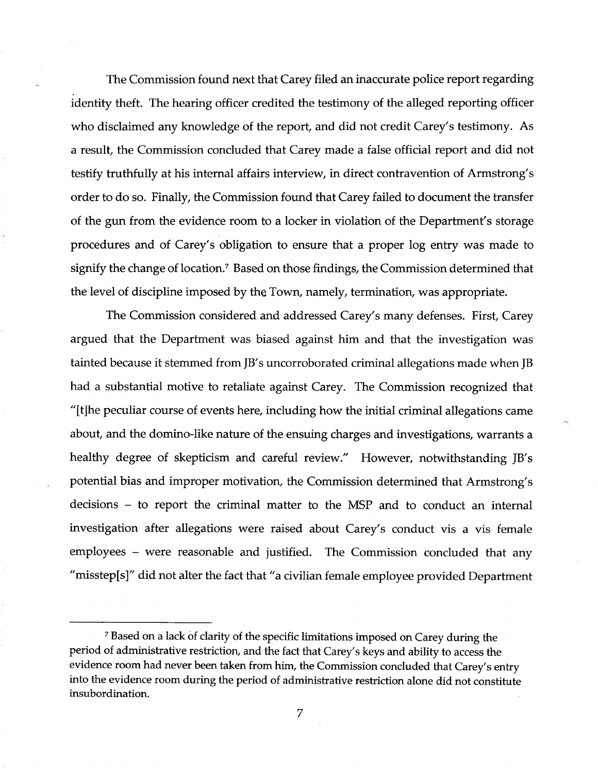The Commission found next that Carey filed an inaccurate police report regarding identity theft. The hearing officer credited the testimony of the alleged reporting officer who disclaimed any knowledge of the report, and did not credit Carey's testimony. As a result, the Commission concluded that Carey made a false official report and did not testify truthfully at his internal affairs interview, in direct contravention of Armstrong's order to do so. Finally, the Commission found that Carey failed to document the transfer of the gun from the evidence room to a locker in violation of the Department's storage procedures and of Carey's obligation to ensure that a proper log entry was made to signify the change of location.<sup>7</sup> Based on those findings, the Commission determined that the level of discipline imposed by the Town, namely, termination, was appropriate.

The Commission considered and addressed Carey's many defenses. First, Carey argued that the Department was biased against him and that the investigation was tainted because it stemmed from JB's uncorroborated criminal allegations made when JB had a substantial motive to retaliate against Carey. The Commission recognized that "[tjhe peculiar course of events here, including how the initial criminal allegations came about, and the domino-like nature of the ensuing charges and investigations, warrants a healthy degree of skepticism and careful review." However, notwithstanding JB's potential bias and improper motivation, the Commission determined that Armstrong's decisions - to report the criminal matter to the MSP and to conduct an internal investigation after allegations were raised about Carey's conduct vis a vis female employees - were reasonable and justified. The Commission concluded that any "misstep[s]" did not alter the fact that "a civilian female employee provided Department

<sup>7</sup> Based on a lack of clarity of the specific limitations imposed on Carey during the period of administrative restriction, and the fact that Carey's keys and ability to access the evidence room had never been taken from him, the Commission concluded that Carey's entry into the evidence room during the period of administrative restriction alone did not constitute insubordination.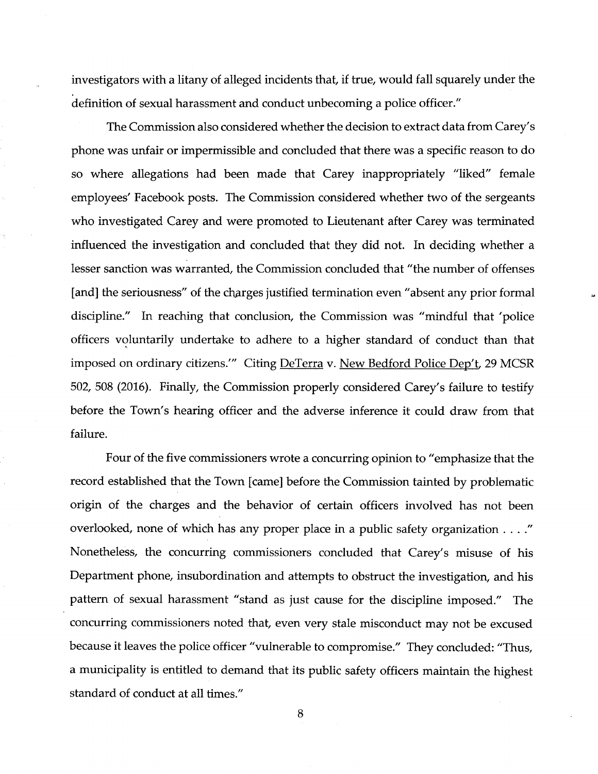investigators with <sup>a</sup> litany of alleged incidents that, if true, would fall squarely under the definition of sexual harassment and conduct unbecoming a police officer."

The Commission also considered whether the decision to extract data from Carey's phone was unfair or impermissible and concluded that there was a specific reason to do so where allegations had been made that Carey inappropriately "liked" female employees' Facebook posts. The Commission considered whether two of the sergeants who investigated Carey and were promoted to Lieutenant after Carey was terminated influenced the investigation and concluded that they did not. In deciding whether a lesser sanction was warranted, the Commission concluded that "the number of offenses [and] the seriousness" of the charges justified termination even "absent any prior formal discipline." In reaching that conclusion, the Commission was "mindful that 'police officers voluntarily undertake to adhere to a higher standard of conduct than that imposed on ordinary citizens.'" Citing DeTerra v. New Bedford Police Dep't, 29 MCSR 502, 508 (2016). Finally, the Commission properly considered Carey's failure to testify before the Town's hearing officer and the adverse inference it could draw from that failure.

Four of the five commissioners wrote a concurring opinion to "emphasize that the record established that the Town [came] before the Commission tainted by problematic origin of the charges and the behavior of certain officers involved has not been overlooked, none of which has any proper place in a public safety organization . . . ." Nonetheless, the concurring commissioners concluded that Carey's misuse of his Department phone, insubordination and attempts to obstruct the investigation, and his pattern of sexual harassment "stand as just cause for the discipline imposed." The concurring commissioners noted that, even very stale misconduct may not be excused because it leaves the police officer "vulnerable to compromise." They concluded: "Thus, a municipality is entitled to demand that its public safety officers maintain the highest standard of conduct at all times."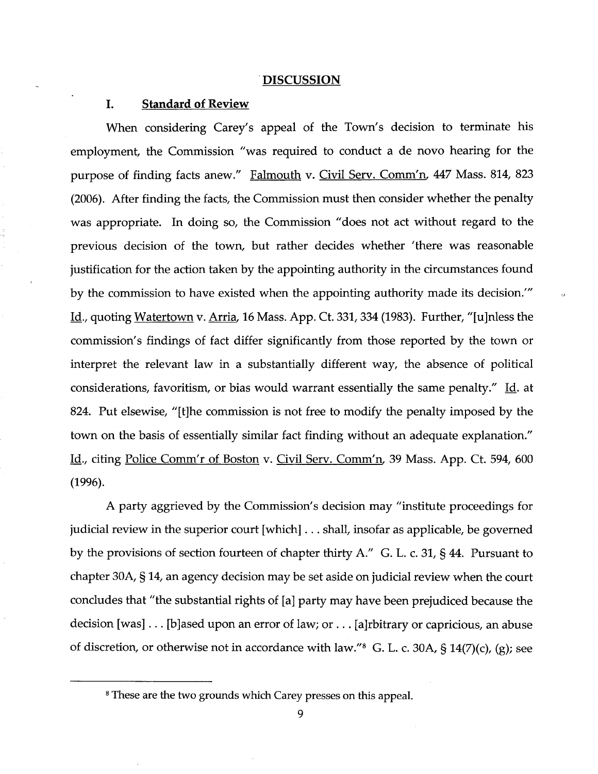#### **DISCUSSION**

## I. Standard of Review

When considering Carey's appeal of the Town's decision to terminate his employment, the Commission "was required to conduct a de novo hearing for the purpose of finding facts anew." Falmouth v. Civil Serv. Comm'n. 447 Mass. 814, 823 (2006). After finding the facts, the Commission must then consider whether the penalty was appropriate. In doing so, the Commission "does not act without regard to the previous decision of the town, but rather decides whether 'there was reasonable justification for the action taken by the appointing authority in the circumstances found by the commission to have existed when the appointing authority made its decision.'" Id., quoting Watertown v. Arria, 16 Mass. App. Ct. 331, 334 (1983). Further, "[ujnless the commission's findings of fact differ significantly from those reported by the town or interpret the relevant law in a substantially different way, the absence of political considerations, favoritism, or bias would warrant essentially the same penalty." Id. at 824. Put elsewise, "[t]he commission is not free to modify the penalty imposed by the town on the basis of essentially similar fact finding without an adequate explanation." Id., citing Police Comm'r of Boston v. Civil Serv. Comm'n, 39 Mass. App. Ct. 594, 600 (1996).

A party aggrieved by the Commission's decision may "institute proceedings for judicial review in the superior court [which] . . . shall, insofar as applicable, be governed by the provisions of section fourteen of chapter thirty A." G. L. c. 31, § 44. Pursuant to chapter 30A, § 14, an agency decision may be set aside on judicial review when the court concludes that "the substantial rights of [a] party may have been prejudiced because the decision [was] . . . [b]ased upon an error of law; or . . . [a]rbitrary or capricious, an abuse of discretion, or otherwise not in accordance with law." $8$  G. L. c. 30A, § 14(7)(c), (g); see

<sup>8</sup> These are the two grounds which Carey presses on this appeal.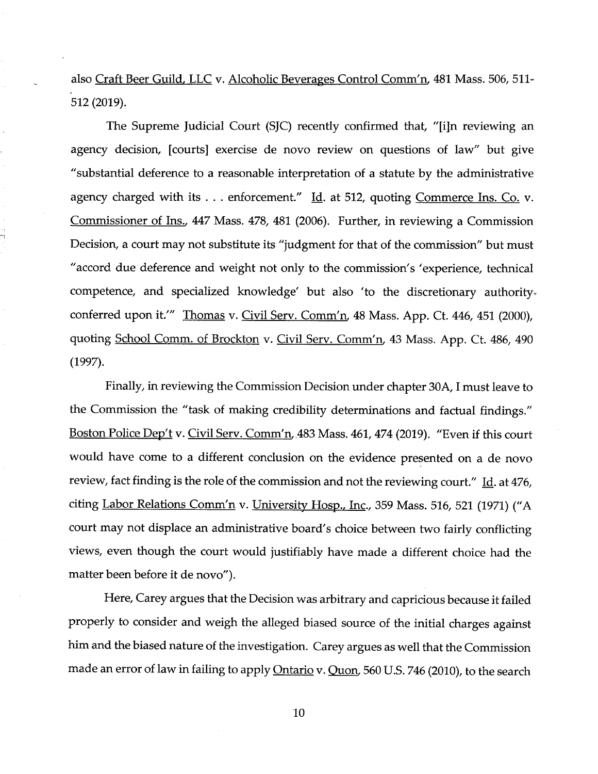also Craft Beer Guild, LLC v. Alcoholic Beverages Control Comm'n. 481 Mass. 506, 511- 512 (2019).

The Supreme Judicial Court (SJC) recently confirmed that, "[i]n reviewing an agency decision, [courts] exercise de novo review on questions of law" but give "substantial deference to <sup>a</sup> reasonable interpretation of <sup>a</sup> statute by the administrative agency charged with its  $\ldots$  enforcement." Id. at 512, quoting Commerce Ins. Co. v. Commissioner of Ins., <sup>447</sup> Mass. 478, <sup>481</sup> (2006). Further, in reviewing <sup>a</sup> Commission Decision, <sup>a</sup> court may not substitute its "judgment for that of the commission" but must "accord due deference and weight not only to the commission's 'experience, technical competence, and specialized knowledge' but also 'to the discretionary authority. conferred upon it.'" Thomas v. Civil Serv. Comm'n, 48 Mass. App. Ct. 446, 451 (2000), quoting School Comm. of Brockton v. Civil Serv. Comm'n, <sup>43</sup> Mass. App. Ct. 486, <sup>490</sup> (1997).

Finally, in reviewing the Commission Decision under chapter 30A, I must leave to the Commission the "task of making credibility determinations and factual findings." Boston Police Dep't v. Civil Serv. Comm'n, 483 Mass. 461, 474 (2019). "Even if this court would have come to <sup>a</sup> different conclusion on the evidence presented on <sup>a</sup> de novo review, fact finding is the role of the commission and not the reviewing court." Id. at 476, citing Labor Relations Comm'n v. University Hosp., Inc., 359 Mass. 516, 521 (1971) ("A court may not displace an administrative board's choice between two fairly conflicting views, even though the court would justifiably have made <sup>a</sup> different choice had the matter been before it de novo").

Flere, Carey argues that the Decision was arbitrary and capricious because it failed properly to consider and weigh the alleged biased source of the initial charges against him and the biased nature of the investigation. Carey argues as well that the Commission made an error of law in failing to apply Ontario v. Quon, 560 U.S. 746 (2010), to the search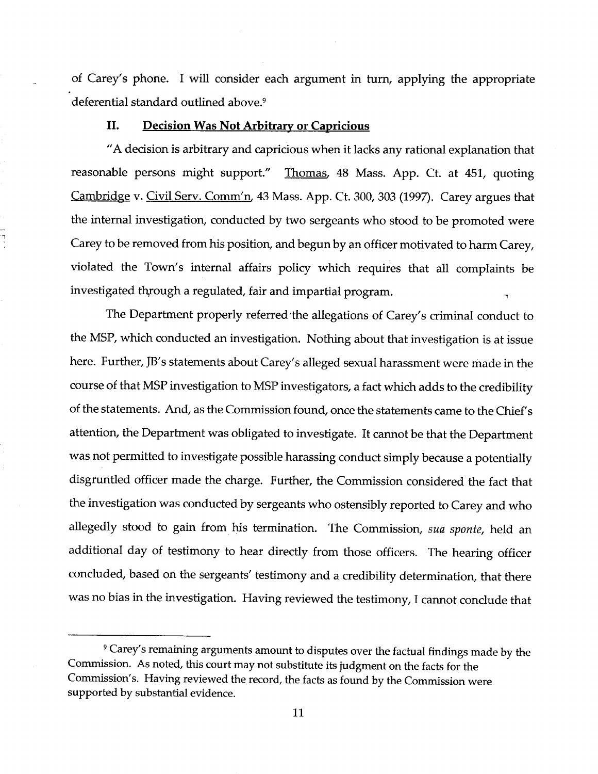of Carey's phone. <sup>I</sup> will consider each argument in turn, applying the appropriate deferential standard outlined above.<sup>9</sup>

# II. Decision Was Not Arbitrary or Capricious

"A decision is arbitrary and capricious when it lacks any rational explanation that reasonable persons might support." Thomas, <sup>48</sup> Mass. App. Ct. at 451, quoting Cambridge v. Civil Serv. Comm'n, <sup>43</sup> Mass. App. Ct. 300, <sup>303</sup> (1997). Carey argues that the internal investigation, conducted by two sergeants who stood to be promoted were Carey to be removed from his position, and begun by an officer motivated to harm Carey, violated the Town's internal affairs policy which requires that all complaints be investigated through a regulated, fair and impartial program.

The Department properly referred the allegations of Carey's criminal conduct to the MSP, which conducted an investigation. Nothing about that investigation is at issue here. Further, JB's statements about Carey's alleged sexual harassment were made in the course of that MSP investigation to MSP investigators, <sup>a</sup> fact which adds to the credibility of the statements. And, as the Commission found, once the statements came to the Chief's attention, the Department was obligated to investigate. It cannot be that the Department was not permitted to investigate possible harassing conduct simply because <sup>a</sup> potentially disgruntled officer made the charge. Further, the Commission considered the fact that the investigation was conducted by sergeants who ostensibly reported to Carey and who allegedly stood to gain from his termination. The Commission, sua sponte, held an additional day of testimony to hear directly from those officers. The hearing officer concluded, based on the sergeants' testimony and <sup>a</sup> credibility determination, that there was no bias in the investigation. Having reviewed the testimony, <sup>I</sup> cannot conclude that

<sup>9</sup> Carey's remaining arguments amount to disputes over the factual findings made by the Commission. As noted, this court may not substitute its judgment on the facts for the Commission's. Having reviewed the record, the facts as found by the Commission were supported by substantial evidence.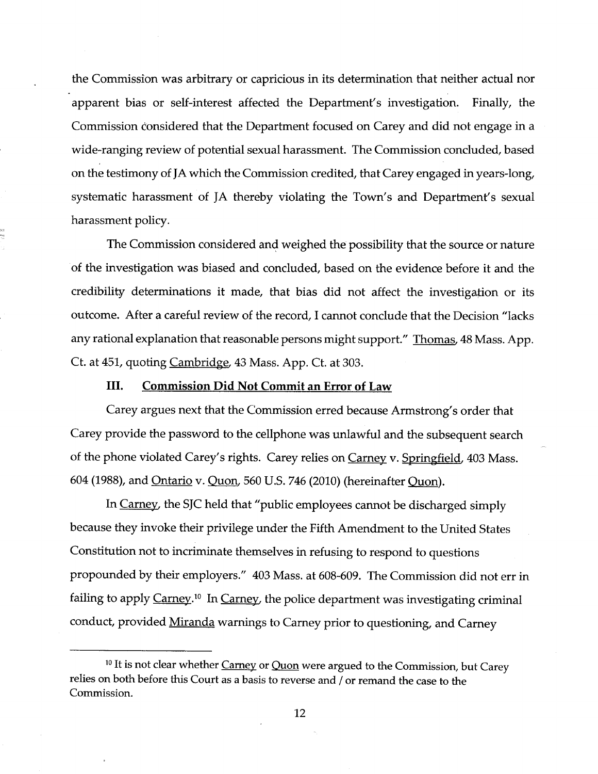the Commission was arbitrary or capricious in its determination that neither actual nor apparent bias or self-interest affected the Department's investigation. Finally, the Commission considered that the Department focused on Carey and did not engage in <sup>a</sup> wide-ranging review of potential sexual harassment. The Commission concluded, based on the testimony of JA which the Commission credited, that Carey engaged in years-long, systematic harassment of JA thereby violating the Town's and Department's sexual harassment policy.

The Commission considered and weighed the possibility that the source or nature of the investigation was biased and concluded, based on the evidence before it and the credibility determinations it made, that bias did not affect the investigation or its outcome. After <sup>a</sup> careful review of the record, I cannot conclude that the Decision "lacks any rational explanation that reasonable persons might support." Thomas, 48 Mass. App. Ct. at 451, quoting Cambridge, 43 Mass. App. Ct. at 303.

#### III. Commission Did Not Commit an Error of Law

Carey argues next that the Commission erred because Armstrong's order that Carey provide the password to the cellphone was unlawful and the subsequent search of the phone violated Carey's rights. Carey relies on Carney v. Springfield, 403 Mass. <sup>604</sup> (1988), and Ontario v. Quon, <sup>560</sup> U.S. <sup>746</sup> (2010) (hereinafter Quon).

In Carney, the SJC held that "public employees cannot be discharged simply because they invoke their privilege under the Fifth Amendment to the United States Constitution not to incriminate themselves in refusing to respond to questions propounded by their employers." 403 Mass. at 608-609. The Commission did not err in failing to apply Carney.<sup>10</sup> In Carney, the police department was investigating criminal conduct, provided Miranda warnings to Carney prior to questioning, and Carney

 $10$  It is not clear whether  $Carney$  or  $Quon$  were argued to the Commission, but Carey relies on both before this Court as <sup>a</sup> basis to reverse and / or remand the case to the Commission.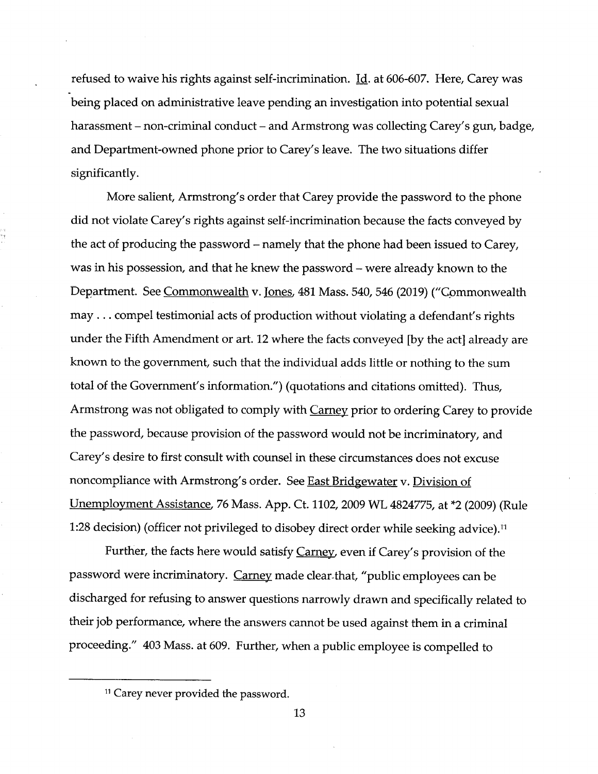refused to waive his rights against self-incrimination.  $\underline{Id}$ . at 606-607. Here, Carey was being placed on administrative leave pending an investigation into potential sexual harassment – non-criminal conduct – and Armstrong was collecting Carey's gun, badge, and Department-owned phone prior to Carey's leave. The two situations differ significantly.

More salient, Armstrong's order that Carey provide the password to the phone did not violate Carey's rights against self-incrimination because the facts conveyed by the act of producing the password – namely that the phone had been issued to Carey, was in his possession, and that he knew the password – were already known to the Department. See Commonwealth v. Tones. 481 Mass. 540, 546 (2019) ("Commonwealth may . . . compel testimonial acts of production without violating <sup>a</sup> defendant's rights under the Fifth Amendment or art. <sup>12</sup> where the facts conveyed [by the act] already are known to the government, such that the individual adds little or nothing to the sum total of the Government's information.") (quotations and citations omitted). Thus, Armstrong was not obligated to comply with Carney prior to ordering Carey to provide the password, because provision of the password would not be incriminatory, and Carey's desire to first consult with counsel in these circumstances does not excuse noncompliance with Armstrong's order. See East Bridgewater v. Division of Unemployment Assistance. <sup>76</sup> Mass. App. Ct. 1102, <sup>2009</sup> WL 4824775, at \*2 (2009) (Rule 1:28 decision) (officer not privileged to disobey direct order while seeking advice).<sup>11</sup>

Further, the facts here would satisfy Carney, even if Carey's provision of the password were incriminatory. Carney made clear-that, "public employees can be discharged for refusing to answer questions narrowly drawn and specifically related to their job performance, where the answers cannot be used against them in <sup>a</sup> criminal proceeding." 403 Mass. at 609. Further, when <sup>a</sup> public employee is compelled to

<sup>&</sup>lt;sup>11</sup> Carey never provided the password.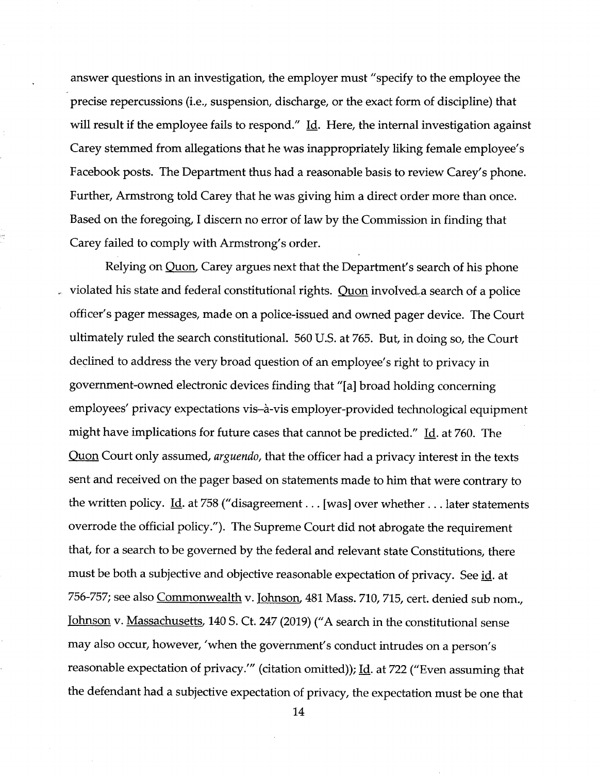answer questions in an investigation, the employer must "specify to the employee the precise repercussions (i.e., suspension, discharge, or the exact form of discipline) that will result if the employee fails to respond."  $\underline{Id}$ . Here, the internal investigation against Carey stemmed from allegations that he was inappropriately liking female employee's Facebook posts. The Department thus had <sup>a</sup> reasonable basis to review Carey's phone. Further, Armstrong told Carey that he was giving him <sup>a</sup> direct order more than once. Based on the foregoing, <sup>I</sup> discern no error of law by the Commission in finding that Carey failed to comply with Armstrong's order.

Relying on Quon, Carey argues next that the Department's search of his phone violated his state and federal constitutional rights. Quon involved a search of a police officer's pager messages, made on <sup>a</sup> police-issued and owned pager device. The Court ultimately ruled the search constitutional. <sup>560</sup> U.S. at 765. But, in doing so, the Court declined to address the very broad question of an employee's right to privacy in government-owned electronic devices finding that "[a] broad holding concerning employees' privacy expectations vis-à-vis employer-provided technological equipment might have implications for future cases that cannot be predicted." Id. at 760. The Quon Court only assumed, arguendo, that the officer had a privacy interest in the texts sent and received on the pager based on statements made to him that were contrary to the written policy. *Id.* at 758 ("disagreement . . . [was] over whether . . . later statements overrode the official policy."). The Supreme Court did not abrogate the requirement that, for <sup>a</sup> search to be governed by the federal and relevant state Constitutions, there must be both a subjective and objective reasonable expectation of privacy. See id. at 756-757; see also Commonwealth v. Johnson, 481 Mass. 710, 715, cert. denied sub nom., Tohnson v. Massachusetts, 140 S. Ct. 247 (2019) ("A search in the constitutional sense may also occur, however, 'when the government's conduct intrudes on <sup>a</sup> person's reasonable expectation of privacy." (citation omitted)); Id. at 722 ("Even assuming that the defendant had <sup>a</sup> subjective expectation of privacy, the expectation must be one that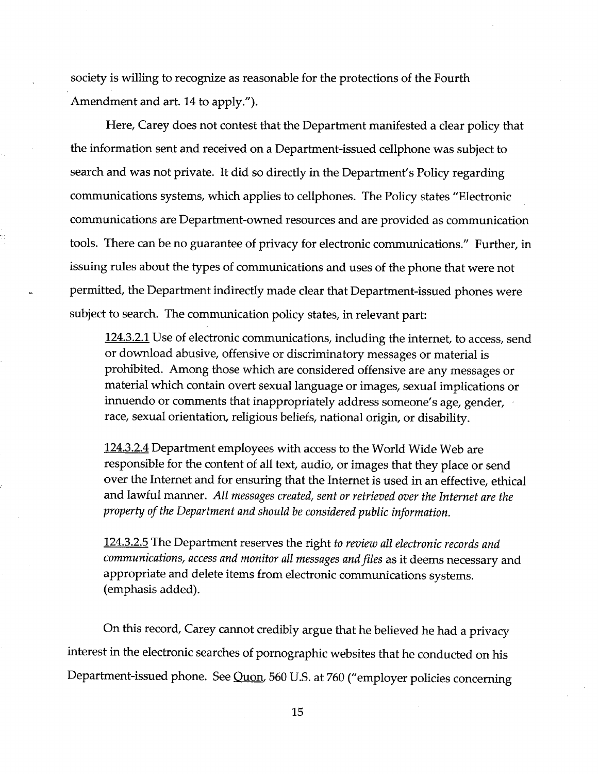society is willing to recognize as reasonable for the protections of the Fourth Amendment and art. 14 to apply.").

Here, Carey does not contest that the Department manifested <sup>a</sup> clear policy that the information sent and received on <sup>a</sup> Department-issued cellphone was subject to search and was not private. It did so directly in the Department's Policy regarding communications systems, which applies to cellphones. The Policy states "Electronic communications are Department-owned resources and are provided as communication tools. There can be no guarantee of privacy for electronic communications." Further, in issuing rules about the types of communications and uses of the phone that were not permitted, the Department indirectly made clear that Department-issued phones were subject to search. The communication policy states, in relevant part:

124.3.2.1 Use of electronic communications, including the internet, to access, send or download abusive, offensive or discriminatory messages or material is prohibited. Among those which are considered offensive are any messages or material which contain overt sexual language or images, sexual implications or innuendo or comments that inappropriately address someone's age, gender, race, sexual orientation, religious beliefs, national origin, or disability.

124.3.2.4 Department employees with access to the World Wide Web are responsible for the content of all text, audio, or images that they place or send over the Internet and for ensuring that the Internet is used in an effective, ethical and lawful manner. All messages created, sent or retrieved over the Internet are the property of the Department and should be considered public information.

124.3.2.5 The Department reserves the right to review all electronic records and communications, access and monitor all messages and files as it deems necessary and appropriate and delete items from electronic communications systems, (emphasis added).

On this record, Carey cannot credibly argue that he believed he had <sup>a</sup> privacy interest in the electronic searches of pornographic websites that he conducted on his Department-issued phone. See Quon. 560 U.S. at 760 ("employer policies concerning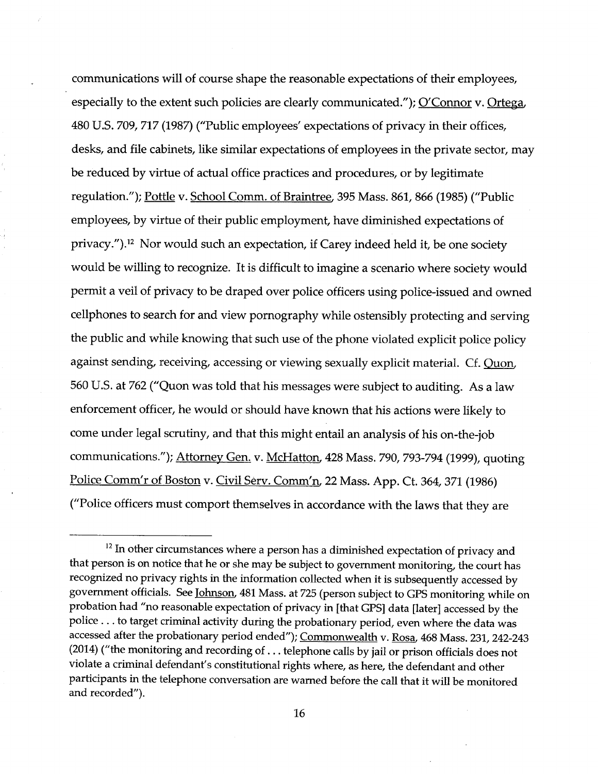communications will of course shape the reasonable expectations of their employees, especially to the extent such policies are clearly communicated."); O'Connor v. Ortega, <sup>480</sup> U.S. 709, <sup>717</sup> (1987) ("Public employees' expectations of privacy in their offices, desks, and file cabinets, like similar expectations of employees in the private sector, may be reduced by virtue of actual office practices and procedures, or by legitimate regulation."); Pottle v. School Comm. of Braintree, 395 Mass. 861, 866 (1985) ("Public employees, by virtue of their public employment, have diminished expectations of privacy.").12 Nor would such an expectation, if Carey indeed held it, be one society would be willing to recognize. It is difficult to imagine <sup>a</sup> scenario where society would permit <sup>a</sup> veil of privacy to be draped over police officers using police-issued and owned cellphones to search for and view pornography while ostensibly protecting and serving the public and while knowing that such use of the phone violated explicit police policy against sending, receiving, accessing or viewing sexually explicit material. Cf. Ouon, <sup>560</sup> U.S. at <sup>762</sup> ("Quon was told that his messages were subject to auditing. As <sup>a</sup> law enforcement officer, he would or should have known that his actions were likely to come under legal scrutiny, and that this might entail an analysis of his on-the-job communications."); Attorney Gen, v. McHatton. <sup>428</sup> Mass. 790, 793-794 (1999), quoting Police Comm'r of Boston v. Civil Serv. Comm'n, 22 Mass. App. Ct. 364, 371 (1986) ("Police officers must comport themselves in accordance with the laws that they are

<sup>&</sup>lt;sup>12</sup> In other circumstances where a person has a diminished expectation of privacy and that person is on notice that he or she may be subject to government monitoring, the court has recognized no privacy rights in the information collected when it is subsequently accessed by government officials. See Johnson. <sup>481</sup> Mass. at <sup>725</sup> (person subject to GPS monitoring while on probation had "no reasonable expectation of privacy in [that GPS] data [later] accessed by the police ... to target criminal activity during the probationary period, even where the data was accessed after the probationary period ended"); Commonwealth v. Rosa, 468 Mass. 231, 242-243 (2014) ("the monitoring and recording of . . . telephone calls by jail or prison officials does not violate <sup>a</sup> criminal defendant's constitutional rights where, as here, the defendant and other participants in the telephone conversation are warned before the call that it will be monitored and recorded").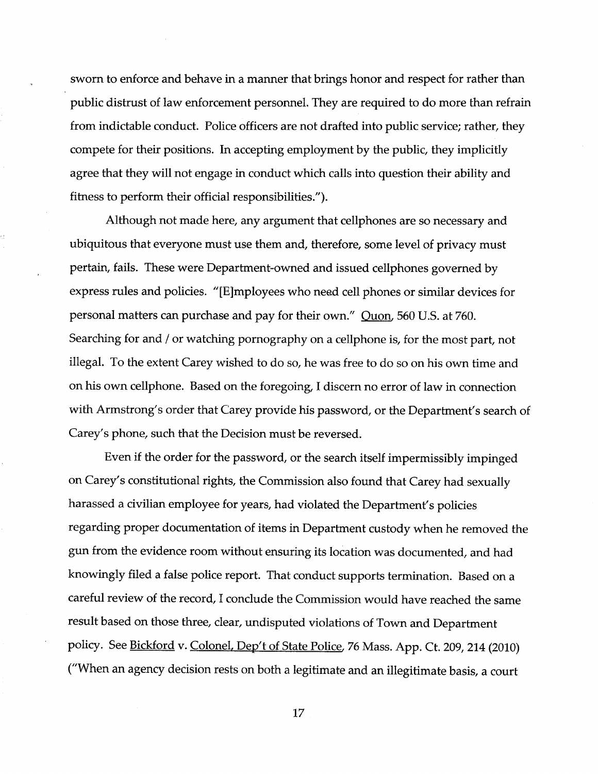sworn to enforce and behave in <sup>a</sup> manner that brings honor and respect for rather than public distrust of law enforcement personnel. They are required to do more than refrain from indictable conduct. Police officers are not drafted into public service; rather, they compete for their positions. In accepting employment by the public, they implicitly agree that they will not engage in conduct which calls into question their ability and fitness to perform their official responsibilities.").

Although not made here, any argument that cellphones are so necessary and ubiquitous that everyone must use them and, therefore, some level of privacy must pertain, fails. These were Department-owned and issued cellphones governed by express rules and policies. "[Ejmployees who need cell phones or similar devices for personal matters can purchase and pay for their own." Ouon, 560 U.S. at 760. Searching for and / or watching pornography on a cellphone is, for the most part, not illegal. To the extent Carey wished to do so, he was free to do so on his own time and on his own cellphone. Based on the foregoing, I discern no error of law in connection with Armstrong's order that Carey provide his password, or the Department's search of Carey's phone, such that the Decision must be reversed.

Even if the order for the password, or the search itself impermissibly impinged on Carey's constitutional rights, the Commission also found that Carey had sexually harassed <sup>a</sup> civilian employee for years, had violated the Department's policies regarding proper documentation of items in Department custody when he removed the gun from the evidence room without ensuring its location was documented, and had knowingly filed <sup>a</sup> false police report. That conduct supports termination. Based on <sup>a</sup> careful review of the record, I conclude the Commission would have reached the same result based on those three, clear, undisputed violations of Town and Department policy. See Bickford v. Colonel, Dep't of State Police, 76 Mass. App. Ct. 209, 214 (2010) ("When an agency decision rests on both <sup>a</sup> legitimate and an illegitimate basis, <sup>a</sup> court